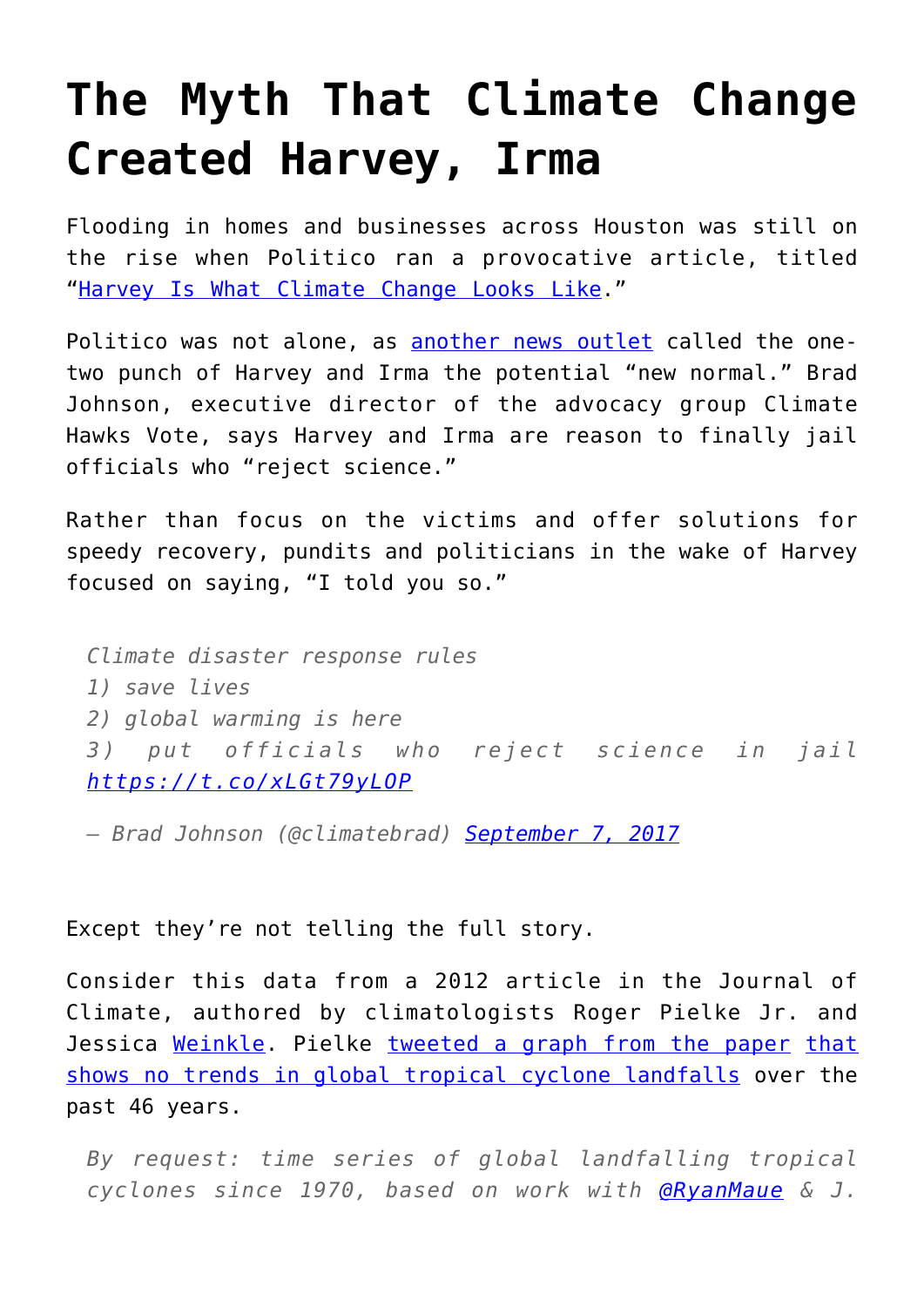## **[The Myth That Climate Change](https://intellectualtakeout.org/2017/09/the-myth-that-climate-change-created-harvey-irma/) [Created Harvey, Irma](https://intellectualtakeout.org/2017/09/the-myth-that-climate-change-created-harvey-irma/)**

Flooding in homes and businesses across Houston was still on the rise when Politico ran a provocative article, titled "[Harvey Is What Climate Change Looks Like.](http://www.politico.com/magazine/story/2017/08/28/climate-change-hurricane-harvey-215547)"

Politico was not alone, as [another news outlet](https://www.theguardian.com/world/2017/sep/06/twin-megastorms-irma-harvey-scientists-fear-new-normal) called the onetwo punch of Harvey and Irma the potential "new normal." Brad Johnson, executive director of the advocacy group Climate Hawks Vote, says Harvey and Irma are reason to finally jail officials who "reject science."

Rather than focus on the victims and offer solutions for speedy recovery, pundits and politicians in the wake of Harvey focused on saying, "I told you so."

*Climate disaster response rules 1) save lives 2) global warming is here 3) put officials who reject science in jail <https://t.co/xLGt79yLOP>*

*— Brad Johnson (@climatebrad) [September 7, 2017](https://twitter.com/climatebrad/status/905857124697350144)*

Except they're not telling the full story.

Consider this data from a 2012 article in the Journal of Climate, authored by climatologists Roger Pielke Jr. and Jessica [Weinkle](http://journals.ametsoc.org/author/Weinkle%2C+Jessica). Pielke [tweeted a graph from the paper](https://twitter.com/RogerPielkeJr/status/905423108063977472) [that](http://journals.ametsoc.org/doi/pdf/10.1175/JCLI-D-11-00719.1) [shows no trends in global tropical cyclone landfalls](http://journals.ametsoc.org/doi/pdf/10.1175/JCLI-D-11-00719.1) over the past 46 years.

*By request: time series of global landfalling tropical cyclones since 1970, based on work with [@RyanMaue](https://twitter.com/RyanMaue) & J.*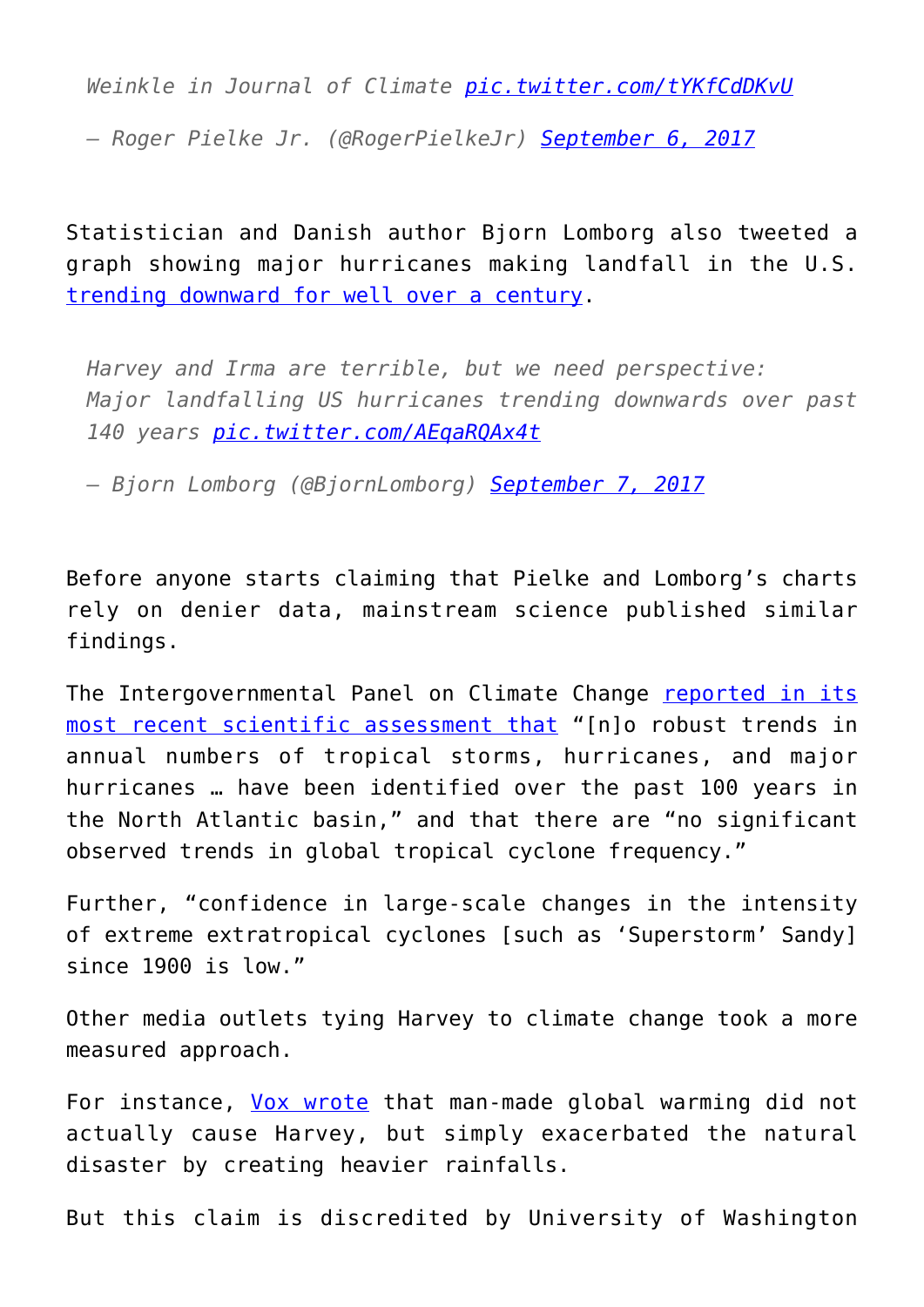*Weinkle in Journal of Climate [pic.twitter.com/tYKfCdDKvU](https://t.co/tYKfCdDKvU)*

*— Roger Pielke Jr. (@RogerPielkeJr) [September 6, 2017](https://twitter.com/RogerPielkeJr/status/905423108063977472)*

Statistician and Danish author Bjorn Lomborg also tweeted a graph showing major hurricanes making landfall in the U.S. [trending downward for well over a century.](https://twitter.com/BjornLomborg/status/905820404765179904)

*Harvey and Irma are terrible, but we need perspective: Major landfalling US hurricanes trending downwards over past 140 years [pic.twitter.com/AEqaRQAx4t](https://t.co/AEqaRQAx4t)*

*— Bjorn Lomborg (@BjornLomborg) [September 7, 2017](https://twitter.com/BjornLomborg/status/905820404765179904)*

Before anyone starts claiming that Pielke and Lomborg's charts rely on denier data, mainstream science published similar findings.

The Intergovernmental Panel on Climate Change [reported in its](http://www.climatechange2013.org/images/report/WG1AR5_Chapter02_FINAL.pdf) [most recent scientific assessment that](http://www.climatechange2013.org/images/report/WG1AR5_Chapter02_FINAL.pdf) "[n]o robust trends in annual numbers of tropical storms, hurricanes, and major hurricanes … have been identified over the past 100 years in the North Atlantic basin," and that there are "no significant observed trends in global tropical cyclone frequency."

Further, "confidence in large-scale changes in the intensity of extreme extratropical cyclones [such as 'Superstorm' Sandy] since 1900 is low."

Other media outlets tying Harvey to climate change took a more measured approach.

For instance, [Vox wrote](https://www.vox.com/energy-and-environment/2017/8/28/16213268/harvey-climate-change) that man-made global warming did not actually cause Harvey, but simply exacerbated the natural disaster by creating heavier rainfalls.

But this claim is discredited by University of Washington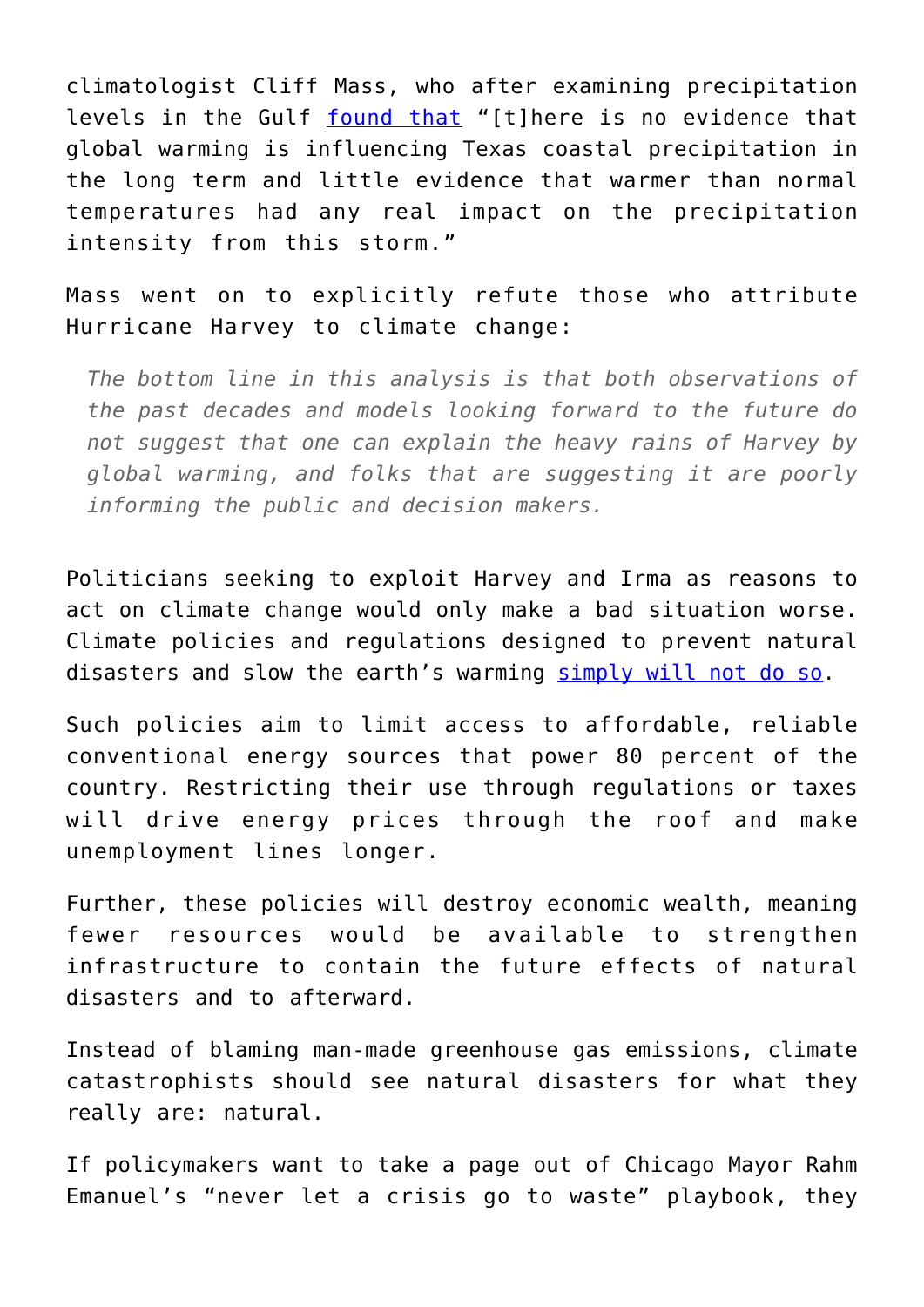climatologist Cliff Mass, who after examining precipitation levels in the Gulf [found that](http://cliffmass.blogspot.com/2017/08/global-warming-and-hurricane-harvey.html?utm_source=dlvr.it&utm_medium=twitter) "[t]here is no evidence that global warming is influencing Texas coastal precipitation in the long term and little evidence that warmer than normal temperatures had any real impact on the precipitation intensity from this storm."

Mass went on to explicitly refute those who attribute Hurricane Harvey to climate change:

*The bottom line in this analysis is that both observations of the past decades and models looking forward to the future do not suggest that one can explain the heavy rains of Harvey by global warming, and folks that are suggesting it are poorly informing the public and decision makers.*

Politicians seeking to exploit Harvey and Irma as reasons to act on climate change would only make a bad situation worse. Climate policies and regulations designed to prevent natural disasters and slow the earth's warming [simply will not do so](http://www.heritage.org/environment/report/consequences-paris-protocol-devastating-economic-costs-essentially-zero).

Such policies aim to limit access to affordable, reliable conventional energy sources that power 80 percent of the country. Restricting their use through regulations or taxes will drive energy prices through the roof and make unemployment lines longer.

Further, these policies will destroy economic wealth, meaning fewer resources would be available to strengthen infrastructure to contain the future effects of natural disasters and to afterward.

Instead of blaming man-made greenhouse gas emissions, climate catastrophists should see natural disasters for what they really are: natural.

If policymakers want to take a page out of Chicago Mayor Rahm Emanuel's "never let a crisis go to waste" playbook, they